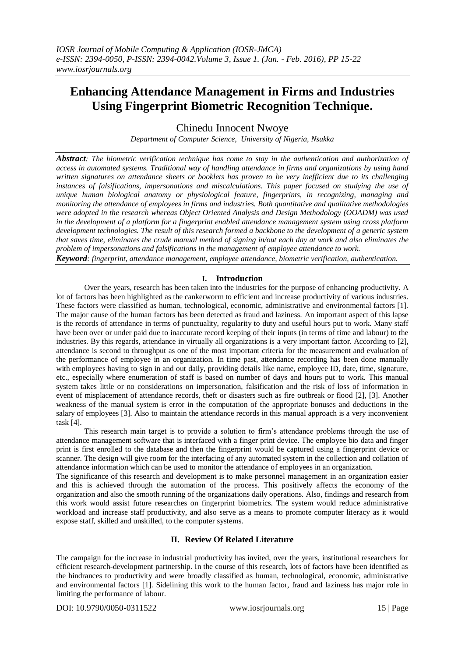# **Enhancing Attendance Management in Firms and Industries Using Fingerprint Biometric Recognition Technique.**

Chinedu Innocent Nwoye

*Department of Computer Science, University of Nigeria, Nsukka*

*Abstract: The biometric verification technique has come to stay in the authentication and authorization of access in automated systems. Traditional way of handling attendance in firms and organizations by using hand written signatures on attendance sheets or booklets has proven to be very inefficient due to its challenging instances of falsifications, impersonations and miscalculations. This paper focused on studying the use of unique human biological anatomy or physiological feature, fingerprints, in recognizing, managing and monitoring the attendance of employees in firms and industries. Both quantitative and qualitative methodologies were adopted in the research whereas Object Oriented Analysis and Design Methodology (OOADM) was used in the development of a platform for a fingerprint enabled attendance management system using cross platform development technologies. The result of this research formed a backbone to the development of a generic system that saves time, eliminates the crude manual method of signing in/out each day at work and also eliminates the problem of impersonations and falsifications in the management of employee attendance to work.* 

*Keyword: fingerprint, attendance management, employee attendance, biometric verification, authentication.*

### **I. Introduction**

Over the years, research has been taken into the industries for the purpose of enhancing productivity. A lot of factors has been highlighted as the cankerworm to efficient and increase productivity of various industries. These factors were classified as human, technological, economic, administrative and environmental factors [1]. The major cause of the human factors has been detected as fraud and laziness. An important aspect of this lapse is the records of attendance in terms of punctuality, regularity to duty and useful hours put to work. Many staff have been over or under paid due to inaccurate record keeping of their inputs (in terms of time and labour) to the industries. By this regards, attendance in virtually all organizations is a very important factor. According to [2], attendance is second to throughput as one of the most important criteria for the measurement and evaluation of the performance of employee in an organization. In time past, attendance recording has been done manually with employees having to sign in and out daily, providing details like name, employee ID, date, time, signature, etc., especially where enumeration of staff is based on number of days and hours put to work. This manual system takes little or no considerations on impersonation, falsification and the risk of loss of information in event of misplacement of attendance records, theft or disasters such as fire outbreak or flood [2], [3]. Another weakness of the manual system is error in the computation of the appropriate bonuses and deductions in the salary of employees [3]. Also to maintain the attendance records in this manual approach is a very inconvenient task [4].

This research main target is to provide a solution to firm's attendance problems through the use of attendance management software that is interfaced with a finger print device. The employee bio data and finger print is first enrolled to the database and then the fingerprint would be captured using a fingerprint device or scanner. The design will give room for the interfacing of any automated system in the collection and collation of attendance information which can be used to monitor the attendance of employees in an organization.

The significance of this research and development is to make personnel management in an organization easier and this is achieved through the automation of the process. This positively affects the economy of the organization and also the smooth running of the organizations daily operations. Also, findings and research from this work would assist future researches on fingerprint biometrics. The system would reduce administrative workload and increase staff productivity, and also serve as a means to promote computer literacy as it would expose staff, skilled and unskilled, to the computer systems.

# **II. Review Of Related Literature**

The campaign for the increase in industrial productivity has invited, over the years, institutional researchers for efficient research-development partnership. In the course of this research, lots of factors have been identified as the hindrances to productivity and were broadly classified as human, technological, economic, administrative and environmental factors [1]. Sidelining this work to the human factor, fraud and laziness has major role in limiting the performance of labour.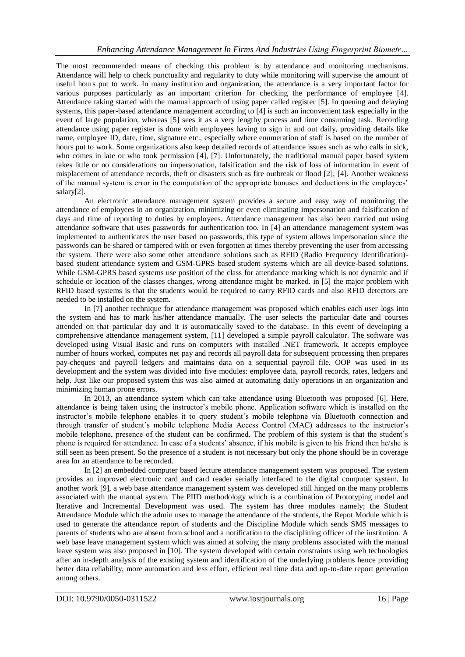The most recommended means of checking this problem is by attendance and monitoring mechanisms. Attendance will help to check punctuality and regularity to duty while monitoring will supervise the amount of useful hours put to work. In many institution and organization, the attendance is a very important factor for various purposes particularly as an important criterion for checking the performance of employee [4]. Attendance taking started with the manual approach of using paper called register [5]. In queuing and delaying systems, this paper-based attendance management according to [4] is such an inconvenient task especially in the event of large population, whereas [5] sees it as a very lengthy process and time consuming task. Recording attendance using paper register is done with employees having to sign in and out daily, providing details like name, employee ID, date, time, signature etc., especially where enumeration of staff is based on the number of hours put to work. Some organizations also keep detailed records of attendance issues such as who calls in sick, who comes in late or who took permission [4], [7]. Unfortunately, the traditional manual paper based system takes little or no considerations on impersonation, falsification and the risk of loss of information in event of misplacement of attendance records, theft or disasters such as fire outbreak or flood [2], [4]. Another weakness of the manual system is error in the computation of the appropriate bonuses and deductions in the employees' salary[2].

An electronic attendance management system provides a secure and easy way of monitoring the attendance of employees in an organization, minimizing or even eliminating impersonation and falsification of days and time of reporting to duties by employees. Attendance management has also been carried out using attendance software that uses passwords for authentication too. In [4] an attendance management system was implemented to authenticates the user based on passwords, this type of system allows impersonation since the passwords can be shared or tampered with or even forgotten at times thereby preventing the user from accessing the system. There were also some other attendance solutions such as RFID (Radio Frequency Identification) based student attendance system and GSM-GPRS based student systems which are all device-based solutions. While GSM-GPRS based systems use position of the class for attendance marking which is not dynamic and if schedule or location of the classes changes, wrong attendance might be marked. in [5] the major problem with RFID based systems is that the students would be required to carry RFID cards and also RFID detectors are needed to be installed on the system.

In [7] another technique for attendance management was proposed which enables each user logs into the system and has to mark his/her attendance manually. The user selects the particular date and courses attended on that particular day and it is automatically saved to the database. In this event of developing a comprehensive attendance management system, [11] developed a simple payroll calculator. The software was developed using Visual Basic and runs on computers with installed .NET framework. It accepts employee number of hours worked, computes net pay and records all payroll data for subsequent processing then prepares pay-cheques and payroll ledgers and maintains data on a sequential payroll file. OOP was used in its development and the system was divided into five modules: employee data, payroll records, rates, ledgers and help. Just like our proposed system this was also aimed at automating daily operations in an organization and minimizing human prone errors.

In 2013, an attendance system which can take attendance using Bluetooth was proposed [6]. Here, attendance is being taken using the instructor's mobile phone. Application software which is installed on the instructor's mobile telephone enables it to query student's mobile telephone via Bluetooth connection and through transfer of student's mobile telephone Media Access Control (MAC) addresses to the instructor's mobile telephone, presence of the student can be confirmed. The problem of this system is that the student's phone is required for attendance. In case of a students' absence, if his mobile is given to his friend then he/she is still seen as been present. So the presence of a student is not necessary but only the phone should be in coverage area for an attendance to be recorded.

In [2] an embedded computer based lecture attendance management system was proposed. The system provides an improved electronic card and card reader serially interfaced to the digital computer system. In another work [9], a web base attendance management system was developed still hinged on the many problems associated with the manual system. The PIID methodology which is a combination of Prototyping model and Iterative and Incremental Development was used. The system has three modules namely; the Student Attendance Module which the admin uses to manage the attendance of the students, the Repot Module which is used to generate the attendance report of students and the Discipline Module which sends SMS messages to parents of students who are absent from school and a notification to the disciplining officer of the institution. A web base leave management system which was aimed at solving the many problems associated with the manual leave system was also proposed in [10]. The system developed with certain constraints using web technologies after an in-depth analysis of the existing system and identification of the underlying problems hence providing better data reliability, more automation and less effort, efficient real time data and up-to-date report generation among others.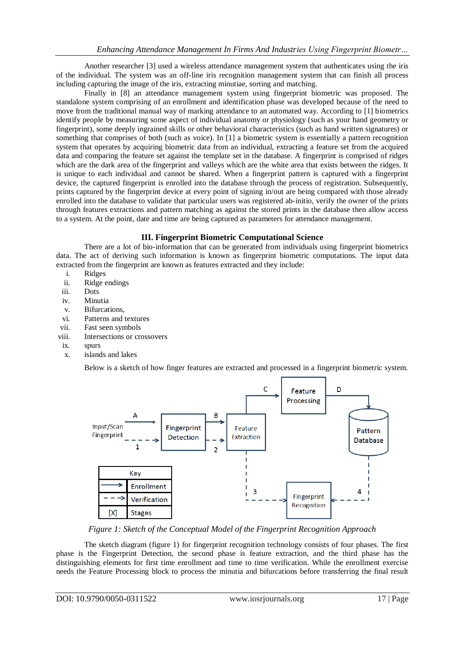Another researcher [3] used a wireless attendance management system that authenticates using the iris of the individual. The system was an off-line iris recognition management system that can finish all process including capturing the image of the iris, extracting minutiae, sorting and matching.

Finally in [8] an attendance management system using fingerprint biometric was proposed. The standalone system comprising of an enrollment and identification phase was developed because of the need to move from the traditional manual way of marking attendance to an automated way. According to [1] biometrics identify people by measuring some aspect of individual anatomy or physiology (such as your hand geometry or fingerprint), some deeply ingrained skills or other behavioral characteristics (such as hand written signatures) or something that comprises of both (such as voice). In [1] a biometric system is essentially a pattern recognition system that operates by acquiring biometric data from an individual, extracting a feature set from the acquired data and comparing the feature set against the template set in the database. A fingerprint is comprised of ridges which are the dark area of the fingerprint and valleys which are the white area that exists between the ridges. It is unique to each individual and cannot be shared. When a fingerprint pattern is captured with a fingerprint device, the captured fingerprint is enrolled into the database through the process of registration. Subsequently, prints captured by the fingerprint device at every point of signing in/out are being compared with those already enrolled into the database to validate that particular users was registered ab-initio, verify the owner of the prints through features extractions and pattern matching as against the stored prints in the database then allow access to a system. At the point, date and time are being captured as parameters for attendance management.

## **III. Fingerprint Biometric Computational Science**

There are a lot of bio-information that can be generated from individuals using fingerprint biometrics data. The act of deriving such information is known as fingerprint biometric computations. The input data extracted from the fingerprint are known as features extracted and they include:

- i. Ridges
- ii. Ridge endings
- iii. Dots
- iv. Minutia
- v. Bifurcations,
- vi. Patterns and textures
- vii. Fast seen symbols
- viii. Intersections or crossovers
- ix. spurs
- x. islands and lakes

Below is a sketch of how finger features are extracted and processed in a fingerprint biometric system.



*Figure 1: Sketch of the Conceptual Model of the Fingerprint Recognition Approach*

The sketch diagram (figure 1) for fingerprint recognition technology consists of four phases. The first phase is the Fingerprint Detection, the second phase is feature extraction, and the third phase has the distinguishing elements for first time enrollment and time to time verification. While the enrollment exercise needs the Feature Processing block to process the minutia and bifurcations before transferring the final result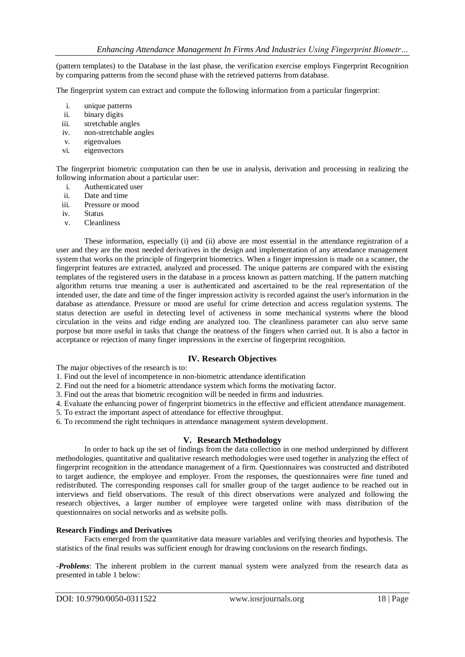(pattern templates) to the Database in the last phase, the verification exercise employs Fingerprint Recognition by comparing patterns from the second phase with the retrieved patterns from database.

The fingerprint system can extract and compute the following information from a particular fingerprint:

- i. unique patterns<br>ii. binary digits
- binary digits
- iii. stretchable angles
- iv. non-stretchable angles
- v. eigenvalues
- vi. eigenvectors

The fingerprint biometric computation can then be use in analysis, derivation and processing in realizing the following information about a particular user:

- i. Authenticated user
- ii. Date and time
- iii. Pressure or mood
- iv. Status
- v. Cleanliness

These information, especially (i) and (ii) above are most essential in the attendance registration of a user and they are the most needed derivatives in the design and implementation of any attendance management system that works on the principle of fingerprint biometrics. When a finger impression is made on a scanner, the fingerprint features are extracted, analyzed and processed. The unique patterns are compared with the existing templates of the registered users in the database in a process known as pattern matching. If the pattern matching algorithm returns true meaning a user is authenticated and ascertained to be the real representation of the intended user, the date and time of the finger impression activity is recorded against the user's information in the database as attendance. Pressure or mood are useful for crime detection and access regulation systems. The status detection are useful in detecting level of activeness in some mechanical systems where the blood circulation in the veins and ridge ending are analyzed too. The cleanliness parameter can also serve same purpose but more useful in tasks that change the neatness of the fingers when carried out. It is also a factor in acceptance or rejection of many finger impressions in the exercise of fingerprint recognition.

### **IV. Research Objectives**

The major objectives of the research is to:

1. Find out the level of incompetence in non-biometric attendance identification

2. Find out the need for a biometric attendance system which forms the motivating factor.

3. Find out the areas that biometric recognition will be needed in firms and industries.

4. Evaluate the enhancing power of fingerprint biometrics in the effective and efficient attendance management.

5. To extract the important aspect of attendance for effective throughput.

6. To recommend the right techniques in attendance management system development.

### **V. Research Methodology**

In order to back up the set of findings from the data collection in one method underpinned by different methodologies, quantitative and qualitative research methodologies were used together in analyzing the effect of fingerprint recognition in the attendance management of a firm. Questionnaires was constructed and distributed to target audience, the employee and employer. From the responses, the questionnaires were fine tuned and redistributed. The corresponding responses call for smaller group of the target audience to be reached out in interviews and field observations. The result of this direct observations were analyzed and following the research objectives, a larger number of employee were targeted online with mass distribution of the questionnaires on social networks and as website polls.

#### **Research Findings and Derivatives**

Facts emerged from the quantitative data measure variables and verifying theories and hypothesis. The statistics of the final results was sufficient enough for drawing conclusions on the research findings.

-*Problems*: The inherent problem in the current manual system were analyzed from the research data as presented in table 1 below: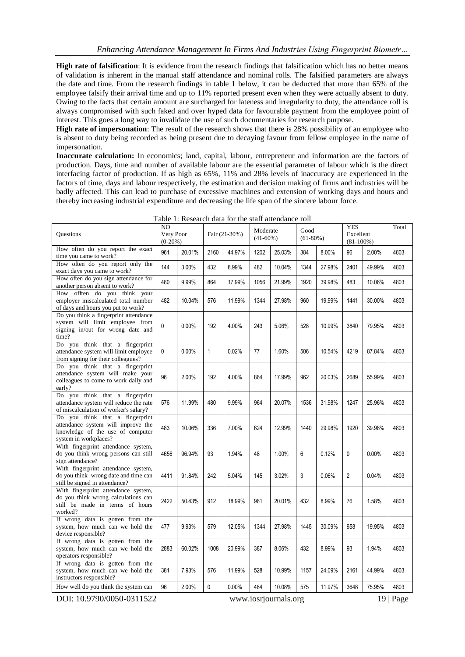**High rate of falsification**: It is evidence from the research findings that falsification which has no better means of validation is inherent in the manual staff attendance and nominal rolls. The falsified parameters are always the date and time. From the research findings in table 1 below, it can be deducted that more than 65% of the employee falsify their arrival time and up to 11% reported present even when they were actually absent to duty. Owing to the facts that certain amount are surcharged for lateness and irregularity to duty, the attendance roll is always compromised with such faked and over hyped data for favourable payment from the employee point of interest. This goes a long way to invalidate the use of such documentaries for research purpose.

**High rate of impersonation**: The result of the research shows that there is 28% possibility of an employee who is absent to duty being recorded as being present due to decaying favour from fellow employee in the name of impersonation.

**Inaccurate calculation:** In economics; land, capital, labour, entrepreneur and information are the factors of production. Days, time and number of available labour are the essential parameter of labour which is the direct interfacing factor of production. If as high as 65%, 11% and 28% levels of inaccuracy are experienced in the factors of time, days and labour respectively, the estimation and decision making of firms and industries will be badly affected. This can lead to purchase of excessive machines and extension of working days and hours and thereby increasing industrial expenditure and decreasing the life span of the sincere labour force.

| Questions                                                                                                                          | NO<br>Very Poor<br>$(0-20%)$ |        | Fair (21-30%) |        | Moderate<br>$(41-60\%)$ |        | Good<br>$(61-80%)$ |        | YES<br>Excellent<br>$(81-100\%)$ |        | Total |
|------------------------------------------------------------------------------------------------------------------------------------|------------------------------|--------|---------------|--------|-------------------------|--------|--------------------|--------|----------------------------------|--------|-------|
| How often do you report the exact<br>time you came to work?                                                                        | 961                          | 20.01% | 2160          | 44.97% | 1202                    | 25.03% | 384                | 8.00%  | 96                               | 2.00%  | 4803  |
| How often do you report only the<br>exact days you came to work?                                                                   | 144                          | 3.00%  | 432           | 8.99%  | 482                     | 10.04% | 1344               | 27.98% | 2401                             | 49.99% | 4803  |
| How often do you sign attendance for<br>another person absent to work?                                                             | 480                          | 9.99%  | 864           | 17.99% | 1056                    | 21.99% | 1920               | 39.98% | 483                              | 10.06% | 4803  |
| How offten do you think your<br>employer miscalculated total number<br>of days and hours you put to work?                          | 482                          | 10.04% | 576           | 11.99% | 1344                    | 27.98% | 960                | 19.99% | 1441                             | 30.00% | 4803  |
| Do you think a fingerprint attendance<br>system will limit employee from<br>signing in/out for wrong date and<br>time?             | $\Omega$                     | 0.00%  | 192           | 4.00%  | 243                     | 5.06%  | 528                | 10.99% | 3840                             | 79.95% | 4803  |
| Do you think that a fingerprint<br>attendance system will limit employee<br>from signing for their colleagues?                     | 0                            | 0.00%  | 1             | 0.02%  | 77                      | 1.60%  | 506                | 10.54% | 4219                             | 87.84% | 4803  |
| Do you think that a fingerprint<br>attendance system will make your<br>colleagues to come to work daily and<br>early?              | 96                           | 2.00%  | 192           | 4.00%  | 864                     | 17.99% | 962                | 20.03% | 2689                             | 55.99% | 4803  |
| Do you think that a fingerprint<br>attendance system will reduce the rate<br>of miscalculation of worker's salary?                 | 576                          | 11.99% | 480           | 9.99%  | 964                     | 20.07% | 1536               | 31.98% | 1247                             | 25.96% | 4803  |
| Do you think that a fingerprint<br>attendance system will improve the<br>knowledge of the use of computer<br>system in workplaces? | 483                          | 10.06% | 336           | 7.00%  | 624                     | 12.99% | 1440               | 29.98% | 1920                             | 39.98% | 4803  |
| With fingerprint attendance system,<br>do you think wrong persons can still<br>sign attendance?                                    | 4656                         | 96.94% | 93            | 1.94%  | 48                      | 1.00%  | 6                  | 0.12%  | 0                                | 0.00%  | 4803  |
| With fingerprint attendance system,<br>do you think wrong date and time can<br>still be signed in attendance?                      | 4411                         | 91.84% | 242           | 5.04%  | 145                     | 3.02%  | 3                  | 0.06%  | $\overline{c}$                   | 0.04%  | 4803  |
| With fingerprint attendance system,<br>do you think wrong calculations can<br>still be made in terms of hours<br>worked?           | 2422                         | 50.43% | 912           | 18.99% | 961                     | 20.01% | 432                | 8.99%  | 76                               | 1.58%  | 4803  |
| If wrong data is gotten from the<br>system, how much can we hold the<br>device responsible?                                        | 477                          | 9.93%  | 579           | 12.05% | 1344                    | 27.98% | 1445               | 30.09% | 958                              | 19.95% | 4803  |
| If wrong data is gotten from the<br>system, how much can we hold the<br>operators responsible?                                     | 2883                         | 60.02% | 1008          | 20.99% | 387                     | 8.06%  | 432                | 8.99%  | 93                               | 1.94%  | 4803  |
| If wrong data is gotten from the<br>system, how much can we hold the<br>instructors responsible?                                   | 381                          | 7.93%  | 576           | 11.99% | 528                     | 10.99% | 1157               | 24.09% | 2161                             | 44.99% | 4803  |
| How well do you think the system can                                                                                               | 96                           | 2.00%  | 0             | 0.00%  | 484                     | 10.08% | 575                | 11.97% | 3648                             | 75.95% | 4803  |

Table 1: Research data for the staff attendance roll

DOI: 10.9790/0050-0311522 www.iosrjournals.org 19 | Page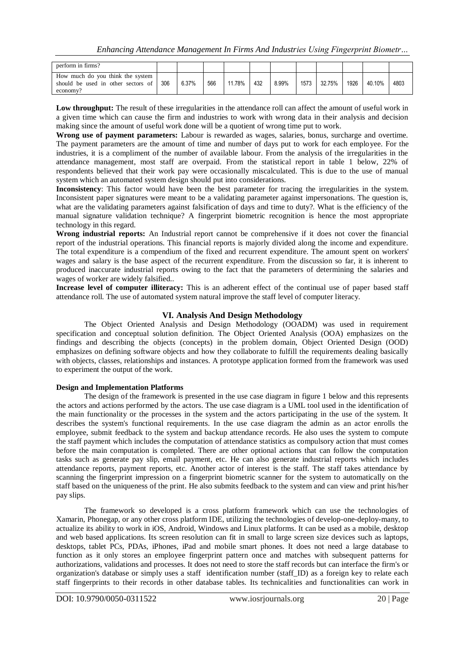| perform in firms?                                                                  |     |       |     |      |     |       |      |        |      |        |      |
|------------------------------------------------------------------------------------|-----|-------|-----|------|-----|-------|------|--------|------|--------|------|
| How much do you think the system<br>should be used in other sectors of<br>economy? | 306 | 6.37% | 566 | 78%، | 432 | 8.99% | 1573 | 32.75% | 1926 | 40.10% | 4803 |

Low throughput: The result of these irregularities in the attendance roll can affect the amount of useful work in a given time which can cause the firm and industries to work with wrong data in their analysis and decision making since the amount of useful work done will be a quotient of wrong time put to work.

**Wrong use of payment parameters:** Labour is rewarded as wages, salaries, bonus, surcharge and overtime. The payment parameters are the amount of time and number of days put to work for each employee. For the industries, it is a compliment of the number of available labour. From the analysis of the irregularities in the attendance management, most staff are overpaid. From the statistical report in table 1 below, 22% of respondents believed that their work pay were occasionally miscalculated. This is due to the use of manual system which an automated system design should put into considerations.

**Inconsistency**: This factor would have been the best parameter for tracing the irregularities in the system. Inconsistent paper signatures were meant to be a validating parameter against impersonations. The question is, what are the validating parameters against falsification of days and time to duty?. What is the efficiency of the manual signature validation technique? A fingerprint biometric recognition is hence the most appropriate technology in this regard.

**Wrong industrial reports:** An Industrial report cannot be comprehensive if it does not cover the financial report of the industrial operations. This financial reports is majorly divided along the income and expenditure. The total expenditure is a compendium of the fixed and recurrent expenditure. The amount spent on workers' wages and salary is the base aspect of the recurrent expenditure. From the discussion so far, it is inherent to produced inaccurate industrial reports owing to the fact that the parameters of determining the salaries and wages of worker are widely falsified..

**Increase level of computer illiteracy:** This is an adherent effect of the continual use of paper based staff attendance roll. The use of automated system natural improve the staff level of computer literacy.

### **VI. Analysis And Design Methodology**

The Object Oriented Analysis and Design Methodology (OOADM) was used in requirement specification and conceptual solution definition. The Object Oriented Analysis (OOA) emphasizes on the findings and describing the objects (concepts) in the problem domain, Object Oriented Design (OOD) emphasizes on defining software objects and how they collaborate to fulfill the requirements dealing basically with objects, classes, relationships and instances. A prototype application formed from the framework was used to experiment the output of the work.

#### **Design and Implementation Platforms**

The design of the framework is presented in the use case diagram in figure 1 below and this represents the actors and actions performed by the actors. The use case diagram is a UML tool used in the identification of the main functionality or the processes in the system and the actors participating in the use of the system. It describes the system's functional requirements. In the use case diagram the admin as an actor enrolls the employee, submit feedback to the system and backup attendance records. He also uses the system to compute the staff payment which includes the computation of attendance statistics as compulsory action that must comes before the main computation is completed. There are other optional actions that can follow the computation tasks such as generate pay slip, email payment, etc. He can also generate industrial reports which includes attendance reports, payment reports, etc. Another actor of interest is the staff. The staff takes attendance by scanning the fingerprint impression on a fingerprint biometric scanner for the system to automatically on the staff based on the uniqueness of the print. He also submits feedback to the system and can view and print his/her pay slips.

The framework so developed is a cross platform framework which can use the technologies of Xamarin, Phonegap, or any other cross platform IDE, utilizing the technologies of develop-one-deploy-many, to actualize its ability to work in iOS, Android, Windows and Linux platforms. It can be used as a mobile, desktop and web based applications. Its screen resolution can fit in small to large screen size devices such as laptops, desktops, tablet PCs, PDAs, iPhones, iPad and mobile smart phones. It does not need a large database to function as it only stores an employee fingerprint pattern once and matches with subsequent patterns for authorizations, validations and processes. It does not need to store the staff records but can interface the firm's or organization's database or simply uses a staff identification number (staff\_ID) as a foreign key to relate each staff fingerprints to their records in other database tables. Its technicalities and functionalities can work in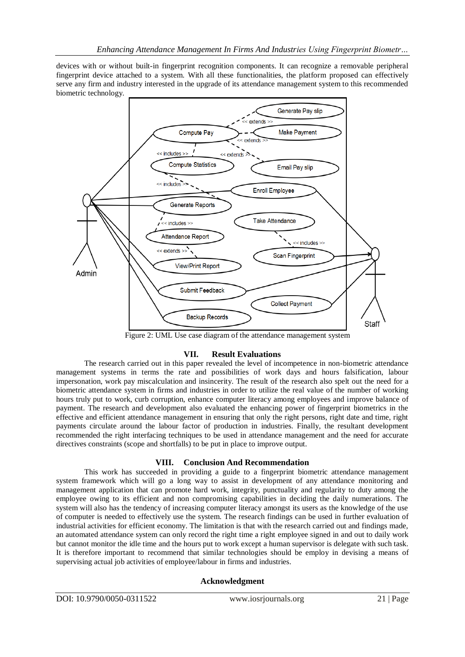devices with or without built-in fingerprint recognition components. It can recognize a removable peripheral fingerprint device attached to a system. With all these functionalities, the platform proposed can effectively serve any firm and industry interested in the upgrade of its attendance management system to this recommended biometric technology.



Figure 2: UML Use case diagram of the attendance management system

### **VII. Result Evaluations**

The research carried out in this paper revealed the level of incompetence in non-biometric attendance management systems in terms the rate and possibilities of work days and hours falsification, labour impersonation, work pay miscalculation and insincerity. The result of the research also spelt out the need for a biometric attendance system in firms and industries in order to utilize the real value of the number of working hours truly put to work, curb corruption, enhance computer literacy among employees and improve balance of payment. The research and development also evaluated the enhancing power of fingerprint biometrics in the effective and efficient attendance management in ensuring that only the right persons, right date and time, right payments circulate around the labour factor of production in industries. Finally, the resultant development recommended the right interfacing techniques to be used in attendance management and the need for accurate directives constraints (scope and shortfalls) to be put in place to improve output.

### **VIII. Conclusion And Recommendation**

This work has succeeded in providing a guide to a fingerprint biometric attendance management system framework which will go a long way to assist in development of any attendance monitoring and management application that can promote hard work, integrity, punctuality and regularity to duty among the employee owing to its efficient and non compromising capabilities in deciding the daily numerations. The system will also has the tendency of increasing computer literacy amongst its users as the knowledge of the use of computer is needed to effectively use the system. The research findings can be used in further evaluation of industrial activities for efficient economy. The limitation is that with the research carried out and findings made, an automated attendance system can only record the right time a right employee signed in and out to daily work but cannot monitor the idle time and the hours put to work except a human supervisor is delegate with such task. It is therefore important to recommend that similar technologies should be employ in devising a means of supervising actual job activities of employee/labour in firms and industries.

### **Acknowledgment**